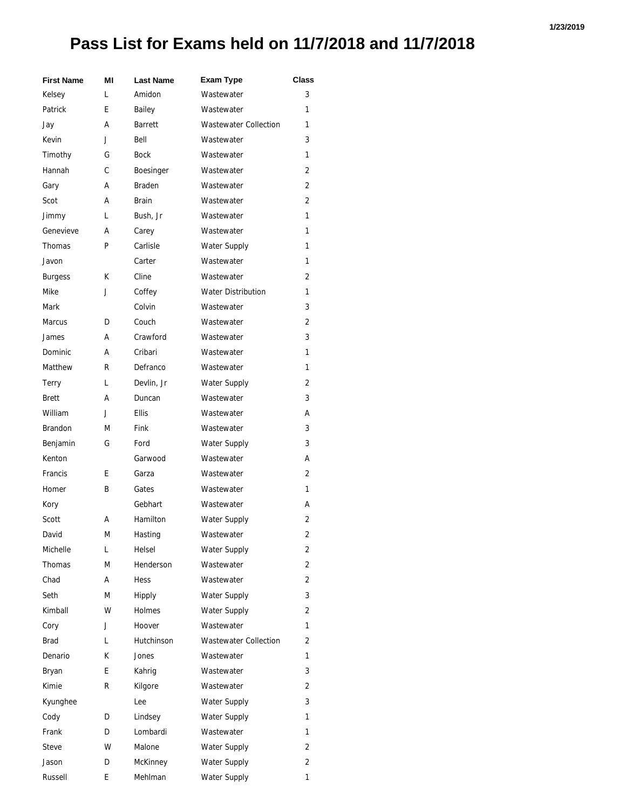## **Pass List for Exams held on 11/7/2018 and 11/7/2018**

| <b>First Name</b> | ΜI | <b>Last Name</b> | <b>Exam Type</b>             | Class |
|-------------------|----|------------------|------------------------------|-------|
| Kelsey            | L  | Amidon           | Wastewater                   | 3     |
| Patrick           | E  | Bailey           | Wastewater                   | 1     |
| Jay               | А  | <b>Barrett</b>   | <b>Wastewater Collection</b> | 1     |
| Kevin             | J  | Bell             | Wastewater                   | 3     |
| Timothy           | G  | <b>Bock</b>      | Wastewater                   | 1     |
| Hannah            | C  | Boesinger        | Wastewater                   | 2     |
| Gary              | А  | <b>Braden</b>    | Wastewater                   | 2     |
| Scot              | А  | <b>Brain</b>     | Wastewater                   | 2     |
| Jimmy             | L  | Bush, Jr         | Wastewater                   | 1     |
| Genevieve         | А  | Carey            | Wastewater                   | 1     |
| Thomas            | P  | Carlisle         | Water Supply                 | 1     |
| Javon             |    | Carter           | Wastewater                   | 1     |
| <b>Burgess</b>    | K  | Cline            | Wastewater                   | 2     |
| Mike              | J  | Coffey           | <b>Water Distribution</b>    | 1     |
| Mark              |    | Colvin           | Wastewater                   | 3     |
| <b>Marcus</b>     | D  | Couch            | Wastewater                   | 2     |
| James             | А  | Crawford         | Wastewater                   | 3     |
| <b>Dominic</b>    | А  | Cribari          | Wastewater                   | 1     |
| Matthew           | R  | Defranco         | Wastewater                   | 1     |
| Terry             | L  | Devlin, Jr       | <b>Water Supply</b>          | 2     |
| <b>Brett</b>      | А  | Duncan           | Wastewater                   | 3     |
| William           | J  | <b>Ellis</b>     | Wastewater                   | А     |
| <b>Brandon</b>    | М  | Fink             | Wastewater                   | 3     |
| Benjamin          | G  | Ford             | Water Supply                 | 3     |
| Kenton            |    | Garwood          | Wastewater                   | А     |
| Francis           | E  | Garza            | Wastewater                   | 2     |
| Homer             | B  | Gates            | Wastewater                   | 1     |
| Kory              |    | Gebhart          | Wastewater                   | А     |
| Scott             | А  | Hamilton         | <b>Water Supply</b>          | 2     |
| David             | M  | Hasting          | Wastewater                   | 2     |
| Michelle          | L  | Helsel           | <b>Water Supply</b>          | 2     |
| Thomas            | М  | Henderson        | Wastewater                   | 2     |
| Chad              | А  | Hess             | Wastewater                   | 2     |
| Seth              | М  | Hipply           | Water Supply                 | 3     |
| Kimball           | W  | <b>Holmes</b>    | <b>Water Supply</b>          | 2     |
| Cory              | J  | Hoover           | Wastewater                   | 1     |
| Brad              | L  | Hutchinson       | <b>Wastewater Collection</b> | 2     |
| Denario           | K  | Jones            | Wastewater                   | 1     |
| Bryan             | E  | Kahrig           | Wastewater                   | 3     |
| Kimie             | R  | Kilgore          | Wastewater                   | 2     |
| Kyunghee          |    | Lee              | <b>Water Supply</b>          | 3     |
| Cody              | D  | Lindsey          | Water Supply                 | 1     |
| Frank             | D  | Lombardi         | Wastewater                   | 1     |
| Steve             | w  | Malone           | Water Supply                 | 2     |
| Jason             | D  | McKinney         | Water Supply                 | 2     |
| Russell           | E  | Mehlman          | Water Supply                 | 1     |